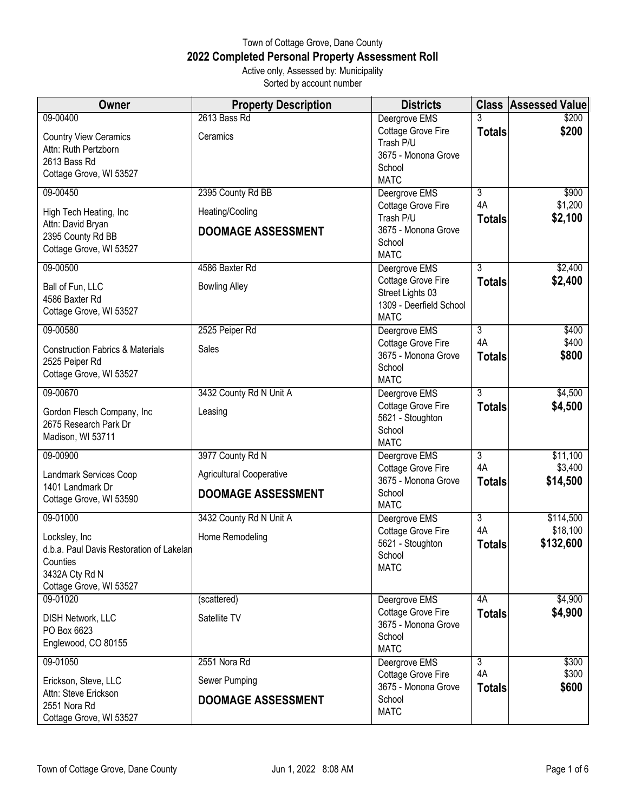## Town of Cottage Grove, Dane County **2022 Completed Personal Property Assessment Roll** Active only, Assessed by: Municipality

Sorted by account number

| Owner                                                                                                                          | <b>Property Description</b>                                        | <b>Districts</b>                                                                                  |                                       | <b>Class Assessed Value</b>        |
|--------------------------------------------------------------------------------------------------------------------------------|--------------------------------------------------------------------|---------------------------------------------------------------------------------------------------|---------------------------------------|------------------------------------|
| 09-00400<br><b>Country View Ceramics</b><br>Attn: Ruth Pertzborn<br>2613 Bass Rd<br>Cottage Grove, WI 53527                    | 2613 Bass Rd<br>Ceramics                                           | Deergrove EMS<br>Cottage Grove Fire<br>Trash P/U<br>3675 - Monona Grove<br>School<br><b>MATC</b>  | 3<br><b>Totals</b>                    | \$200<br>\$200                     |
| 09-00450<br>High Tech Heating, Inc<br>Attn: David Bryan<br>2395 County Rd BB<br>Cottage Grove, WI 53527                        | 2395 County Rd BB<br>Heating/Cooling<br><b>DOOMAGE ASSESSMENT</b>  | Deergrove EMS<br>Cottage Grove Fire<br>Trash P/U<br>3675 - Monona Grove<br>School<br><b>MATC</b>  | $\overline{3}$<br>4A<br><b>Totals</b> | \$900<br>\$1,200<br>\$2,100        |
| 09-00500<br>Ball of Fun, LLC<br>4586 Baxter Rd<br>Cottage Grove, WI 53527                                                      | 4586 Baxter Rd<br><b>Bowling Alley</b>                             | Deergrove EMS<br>Cottage Grove Fire<br>Street Lights 03<br>1309 - Deerfield School<br><b>MATC</b> | $\overline{3}$<br><b>Totals</b>       | \$2,400<br>\$2,400                 |
| 09-00580<br><b>Construction Fabrics &amp; Materials</b><br>2525 Peiper Rd<br>Cottage Grove, WI 53527                           | 2525 Peiper Rd<br>Sales                                            | Deergrove EMS<br>Cottage Grove Fire<br>3675 - Monona Grove<br>School<br><b>MATC</b>               | 3<br>4A<br><b>Totals</b>              | \$400<br>\$400<br>\$800            |
| 09-00670<br>Gordon Flesch Company, Inc<br>2675 Research Park Dr<br>Madison, WI 53711                                           | 3432 County Rd N Unit A<br>Leasing                                 | Deergrove EMS<br>Cottage Grove Fire<br>5621 - Stoughton<br>School<br><b>MATC</b>                  | $\overline{3}$<br><b>Totals</b>       | \$4,500<br>\$4,500                 |
| 09-00900<br>Landmark Services Coop<br>1401 Landmark Dr<br>Cottage Grove, WI 53590                                              | 3977 County Rd N<br>Agricultural Cooperative<br>DOOMAGE ASSESSMENT | Deergrove EMS<br><b>Cottage Grove Fire</b><br>3675 - Monona Grove<br>School<br><b>MATC</b>        | $\overline{3}$<br>4A<br><b>Totals</b> | \$11,100<br>\$3,400<br>\$14,500    |
| 09-01000<br>Locksley, Inc<br>d.b.a. Paul Davis Restoration of Lakelan<br>Counties<br>3432A Cty Rd N<br>Cottage Grove, WI 53527 | 3432 County Rd N Unit A<br>Home Remodeling                         | Deergrove EMS<br>Cottage Grove Fire<br>5621 - Stoughton<br>School<br><b>MATC</b>                  | $\overline{3}$<br>4A<br><b>Totals</b> | \$114,500<br>\$18,100<br>\$132,600 |
| 09-01020<br>DISH Network, LLC<br>PO Box 6623<br>Englewood, CO 80155                                                            | (scattered)<br>Satellite TV                                        | Deergrove EMS<br>Cottage Grove Fire<br>3675 - Monona Grove<br>School<br><b>MATC</b>               | 4A<br><b>Totals</b>                   | \$4,900<br>\$4,900                 |
| 09-01050<br>Erickson, Steve, LLC<br>Attn: Steve Erickson<br>2551 Nora Rd<br>Cottage Grove, WI 53527                            | 2551 Nora Rd<br>Sewer Pumping<br><b>DOOMAGE ASSESSMENT</b>         | Deergrove EMS<br>Cottage Grove Fire<br>3675 - Monona Grove<br>School<br><b>MATC</b>               | $\overline{3}$<br>4A<br><b>Totals</b> | \$300<br>\$300<br>\$600            |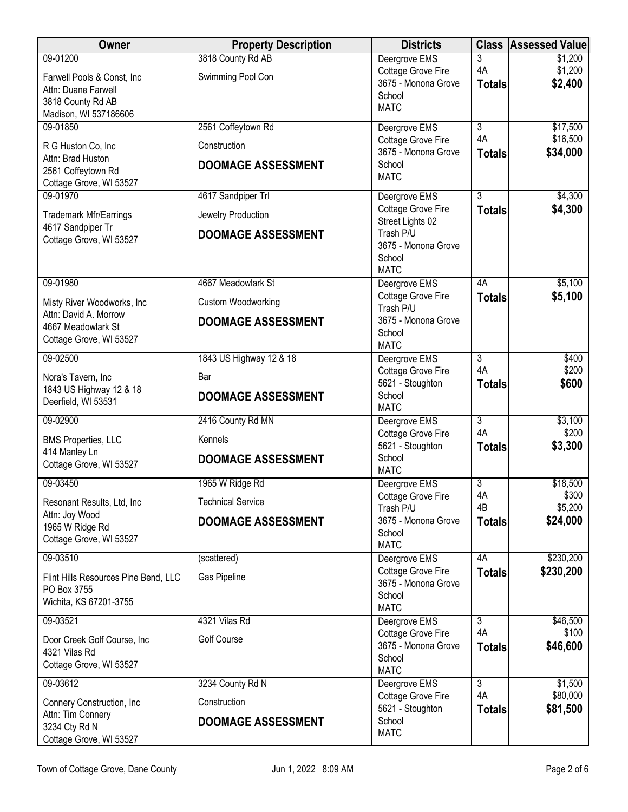| <b>Owner</b>                                        | <b>Property Description</b> | <b>Districts</b>                          | <b>Class</b>         | <b>Assessed Value</b> |
|-----------------------------------------------------|-----------------------------|-------------------------------------------|----------------------|-----------------------|
| 09-01200                                            | 3818 County Rd AB           | Deergrove EMS                             | 3                    | \$1,200               |
| Farwell Pools & Const, Inc                          | Swimming Pool Con           | Cottage Grove Fire<br>3675 - Monona Grove | 4A                   | \$1,200<br>\$2,400    |
| Attn: Duane Farwell                                 |                             | School                                    | <b>Totals</b>        |                       |
| 3818 County Rd AB<br>Madison, WI 537186606          |                             | <b>MATC</b>                               |                      |                       |
| 09-01850                                            | 2561 Coffeytown Rd          | Deergrove EMS                             | $\overline{3}$       | \$17,500              |
| R G Huston Co, Inc                                  | Construction                | Cottage Grove Fire                        | 4A                   | \$16,500              |
| Attn: Brad Huston                                   |                             | 3675 - Monona Grove                       | <b>Totals</b>        | \$34,000              |
| 2561 Coffeytown Rd                                  | <b>DOOMAGE ASSESSMENT</b>   | School<br><b>MATC</b>                     |                      |                       |
| Cottage Grove, WI 53527                             |                             |                                           |                      |                       |
| 09-01970                                            | 4617 Sandpiper Trl          | Deergrove EMS<br>Cottage Grove Fire       | 3<br><b>Totals</b>   | \$4,300<br>\$4,300    |
| <b>Trademark Mfr/Earrings</b>                       | Jewelry Production          | Street Lights 02                          |                      |                       |
| 4617 Sandpiper Tr<br>Cottage Grove, WI 53527        | <b>DOOMAGE ASSESSMENT</b>   | Trash P/U                                 |                      |                       |
|                                                     |                             | 3675 - Monona Grove<br>School             |                      |                       |
|                                                     |                             | <b>MATC</b>                               |                      |                       |
| 09-01980                                            | 4667 Meadowlark St          | Deergrove EMS                             | 4A                   | \$5,100               |
| Misty River Woodworks, Inc                          | Custom Woodworking          | Cottage Grove Fire                        | <b>Totals</b>        | \$5,100               |
| Attn: David A. Morrow                               | <b>DOOMAGE ASSESSMENT</b>   | Trash P/U<br>3675 - Monona Grove          |                      |                       |
| 4667 Meadowlark St                                  |                             | School                                    |                      |                       |
| Cottage Grove, WI 53527                             |                             | <b>MATC</b>                               |                      |                       |
| 09-02500                                            | 1843 US Highway 12 & 18     | Deergrove EMS                             | $\overline{3}$<br>4A | \$400                 |
| Nora's Tavern, Inc                                  | Bar                         | Cottage Grove Fire<br>5621 - Stoughton    | <b>Totals</b>        | \$200<br>\$600        |
| 1843 US Highway 12 & 18                             | <b>DOOMAGE ASSESSMENT</b>   | School                                    |                      |                       |
| Deerfield, WI 53531                                 |                             | <b>MATC</b>                               |                      |                       |
| 09-02900                                            | 2416 County Rd MN           | Deergrove EMS                             | 3<br>4A              | \$3,100<br>\$200      |
| <b>BMS Properties, LLC</b>                          | Kennels                     | Cottage Grove Fire<br>5621 - Stoughton    | <b>Totals</b>        | \$3,300               |
| 414 Manley Ln<br>Cottage Grove, WI 53527            | <b>DOOMAGE ASSESSMENT</b>   | School                                    |                      |                       |
|                                                     |                             | <b>MATC</b>                               |                      |                       |
| 09-03450                                            | 1965 W Ridge Rd             | Deergrove EMS<br>Cottage Grove Fire       | 3<br>4A              | \$18,500<br>\$300     |
| Resonant Results, Ltd, Inc.                         | <b>Technical Service</b>    | Trash P/U                                 | 4B                   | \$5,200               |
| Attn: Joy Wood<br>1965 W Ridge Rd                   | <b>DOOMAGE ASSESSMENT</b>   | 3675 - Monona Grove                       | <b>Totals</b>        | \$24,000              |
| Cottage Grove, WI 53527                             |                             | School                                    |                      |                       |
| 09-03510                                            | (scattered)                 | <b>MATC</b><br>Deergrove EMS              | 4A                   | \$230,200             |
|                                                     | Gas Pipeline                | Cottage Grove Fire                        | <b>Totals</b>        | \$230,200             |
| Flint Hills Resources Pine Bend, LLC<br>PO Box 3755 |                             | 3675 - Monona Grove                       |                      |                       |
| Wichita, KS 67201-3755                              |                             | School<br><b>MATC</b>                     |                      |                       |
| 09-03521                                            | 4321 Vilas Rd               | Deergrove EMS                             | 3                    | \$46,500              |
| Door Creek Golf Course, Inc                         | Golf Course                 | Cottage Grove Fire                        | 4A                   | \$100                 |
| 4321 Vilas Rd                                       |                             | 3675 - Monona Grove                       | <b>Totals</b>        | \$46,600              |
| Cottage Grove, WI 53527                             |                             | School<br><b>MATC</b>                     |                      |                       |
| 09-03612                                            | 3234 County Rd N            | Deergrove EMS                             | $\overline{3}$       | \$1,500               |
| Connery Construction, Inc                           | Construction                | Cottage Grove Fire                        | 4A                   | \$80,000              |
| Attn: Tim Connery                                   |                             | 5621 - Stoughton<br>School                | <b>Totals</b>        | \$81,500              |
| 3234 Cty Rd N                                       | <b>DOOMAGE ASSESSMENT</b>   | <b>MATC</b>                               |                      |                       |
| Cottage Grove, WI 53527                             |                             |                                           |                      |                       |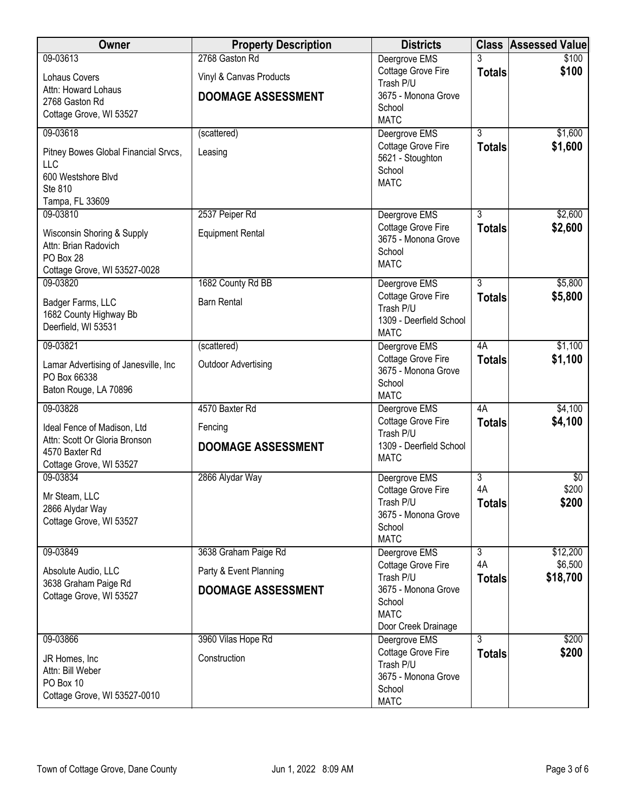| Owner                                           | <b>Property Description</b> | <b>Districts</b>                       |                                 | <b>Class Assessed Value</b> |
|-------------------------------------------------|-----------------------------|----------------------------------------|---------------------------------|-----------------------------|
| 09-03613                                        | 2768 Gaston Rd              | Deergrove EMS                          |                                 | \$100                       |
| Lohaus Covers                                   | Vinyl & Canvas Products     | Cottage Grove Fire<br>Trash P/U        | <b>Totals</b>                   | \$100                       |
| Attn: Howard Lohaus<br>2768 Gaston Rd           | <b>DOOMAGE ASSESSMENT</b>   | 3675 - Monona Grove                    |                                 |                             |
| Cottage Grove, WI 53527                         |                             | School                                 |                                 |                             |
| 09-03618                                        | (scattered)                 | <b>MATC</b><br>Deergrove EMS           | 3                               | \$1,600                     |
|                                                 |                             | Cottage Grove Fire                     | <b>Totals</b>                   | \$1,600                     |
| Pitney Bowes Global Financial Srvcs,<br>LLC     | Leasing                     | 5621 - Stoughton                       |                                 |                             |
| 600 Westshore Blvd                              |                             | School<br><b>MATC</b>                  |                                 |                             |
| Ste 810                                         |                             |                                        |                                 |                             |
| Tampa, FL 33609<br>09-03810                     | 2537 Peiper Rd              | Deergrove EMS                          | $\overline{3}$                  | \$2,600                     |
| Wisconsin Shoring & Supply                      | <b>Equipment Rental</b>     | Cottage Grove Fire                     | <b>Totals</b>                   | \$2,600                     |
| Attn: Brian Radovich                            |                             | 3675 - Monona Grove                    |                                 |                             |
| PO Box 28                                       |                             | School<br><b>MATC</b>                  |                                 |                             |
| Cottage Grove, WI 53527-0028<br>09-03820        | 1682 County Rd BB           | Deergrove EMS                          | $\overline{3}$                  | \$5,800                     |
|                                                 |                             | Cottage Grove Fire                     | <b>Totals</b>                   | \$5,800                     |
| Badger Farms, LLC<br>1682 County Highway Bb     | <b>Barn Rental</b>          | Trash P/U                              |                                 |                             |
| Deerfield, WI 53531                             |                             | 1309 - Deerfield School<br><b>MATC</b> |                                 |                             |
| 09-03821                                        | (scattered)                 | Deergrove EMS                          | 4A                              | \$1,100                     |
| Lamar Advertising of Janesville, Inc            | <b>Outdoor Advertising</b>  | Cottage Grove Fire                     | <b>Totals</b>                   | \$1,100                     |
| PO Box 66338                                    |                             | 3675 - Monona Grove<br>School          |                                 |                             |
| Baton Rouge, LA 70896                           |                             | <b>MATC</b>                            |                                 |                             |
| 09-03828                                        | 4570 Baxter Rd              | Deergrove EMS                          | 4A                              | \$4,100                     |
| Ideal Fence of Madison, Ltd                     | Fencing                     | Cottage Grove Fire<br>Trash P/U        | <b>Totals</b>                   | \$4,100                     |
| Attn: Scott Or Gloria Bronson<br>4570 Baxter Rd | <b>DOOMAGE ASSESSMENT</b>   | 1309 - Deerfield School                |                                 |                             |
| Cottage Grove, WI 53527                         |                             | <b>MATC</b>                            |                                 |                             |
| 09-03834                                        | 2866 Alydar Way             | Deergrove EMS                          | $\overline{3}$                  | $\sqrt[6]{30}$              |
| Mr Steam, LLC                                   |                             | Cottage Grove Fire<br>Trash P/U        | 4A<br><b>Totals</b>             | \$200<br>\$200              |
| 2866 Alydar Way                                 |                             | 3675 - Monona Grove                    |                                 |                             |
| Cottage Grove, WI 53527                         |                             | School                                 |                                 |                             |
| 09-03849                                        | 3638 Graham Paige Rd        | <b>MATC</b><br>Deergrove EMS           | $\overline{3}$                  | \$12,200                    |
|                                                 | Party & Event Planning      | Cottage Grove Fire                     | 4A                              | \$6,500                     |
| Absolute Audio, LLC<br>3638 Graham Paige Rd     |                             | Trash P/U                              | <b>Totals</b>                   | \$18,700                    |
| Cottage Grove, WI 53527                         | <b>DOOMAGE ASSESSMENT</b>   | 3675 - Monona Grove<br>School          |                                 |                             |
|                                                 |                             | <b>MATC</b>                            |                                 |                             |
|                                                 |                             | Door Creek Drainage                    |                                 |                             |
| 09-03866                                        | 3960 Vilas Hope Rd          | Deergrove EMS<br>Cottage Grove Fire    | $\overline{3}$<br><b>Totals</b> | \$200<br>\$200              |
| JR Homes, Inc.<br>Attn: Bill Weber              | Construction                | Trash P/U                              |                                 |                             |
| PO Box 10                                       |                             | 3675 - Monona Grove                    |                                 |                             |
| Cottage Grove, WI 53527-0010                    |                             | School<br><b>MATC</b>                  |                                 |                             |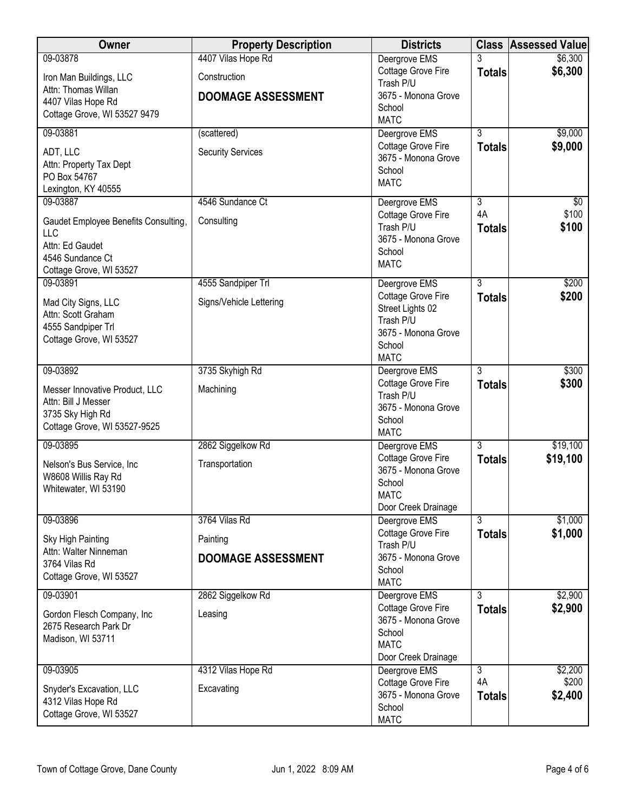| Owner                                              | <b>Property Description</b> | <b>Districts</b>                     |                | <b>Class Assessed Value</b> |
|----------------------------------------------------|-----------------------------|--------------------------------------|----------------|-----------------------------|
| 09-03878                                           | 4407 Vilas Hope Rd          | Deergrove EMS                        |                | \$6,300                     |
| Iron Man Buildings, LLC                            | Construction                | Cottage Grove Fire<br>Trash P/U      | <b>Totals</b>  | \$6,300                     |
| Attn: Thomas Willan                                | <b>DOOMAGE ASSESSMENT</b>   | 3675 - Monona Grove                  |                |                             |
| 4407 Vilas Hope Rd<br>Cottage Grove, WI 53527 9479 |                             | School                               |                |                             |
|                                                    |                             | <b>MATC</b>                          |                |                             |
| 09-03881                                           | (scattered)                 | Deergrove EMS<br>Cottage Grove Fire  | $\overline{3}$ | \$9,000<br>\$9,000          |
| ADT, LLC                                           | <b>Security Services</b>    | 3675 - Monona Grove                  | <b>Totals</b>  |                             |
| Attn: Property Tax Dept<br>PO Box 54767            |                             | School                               |                |                             |
| Lexington, KY 40555                                |                             | <b>MATC</b>                          |                |                             |
| 09-03887                                           | 4546 Sundance Ct            | Deergrove EMS                        | $\overline{3}$ | $\overline{50}$             |
| Gaudet Employee Benefits Consulting,               | Consulting                  | Cottage Grove Fire                   | 4A             | \$100                       |
| LLC                                                |                             | Trash P/U                            | <b>Totals</b>  | \$100                       |
| Attn: Ed Gaudet                                    |                             | 3675 - Monona Grove<br>School        |                |                             |
| 4546 Sundance Ct                                   |                             | <b>MATC</b>                          |                |                             |
| Cottage Grove, WI 53527<br>09-03891                | 4555 Sandpiper Trl          | Deergrove EMS                        | $\overline{3}$ | \$200                       |
|                                                    |                             | Cottage Grove Fire                   | <b>Totals</b>  | \$200                       |
| Mad City Signs, LLC<br>Attn: Scott Graham          | Signs/Vehicle Lettering     | Street Lights 02                     |                |                             |
| 4555 Sandpiper Trl                                 |                             | Trash P/U                            |                |                             |
| Cottage Grove, WI 53527                            |                             | 3675 - Monona Grove<br>School        |                |                             |
|                                                    |                             | <b>MATC</b>                          |                |                             |
| 09-03892                                           | 3735 Skyhigh Rd             | Deergrove EMS                        | $\overline{3}$ | \$300                       |
| Messer Innovative Product, LLC                     | Machining                   | Cottage Grove Fire                   | <b>Totals</b>  | \$300                       |
| Attn: Bill J Messer                                |                             | Trash P/U                            |                |                             |
| 3735 Sky High Rd                                   |                             | 3675 - Monona Grove<br>School        |                |                             |
| Cottage Grove, WI 53527-9525                       |                             | <b>MATC</b>                          |                |                             |
| 09-03895                                           | 2862 Siggelkow Rd           | Deergrove EMS                        | $\overline{3}$ | \$19,100                    |
| Nelson's Bus Service, Inc                          | Transportation              | Cottage Grove Fire                   | <b>Totals</b>  | \$19,100                    |
| W8608 Willis Ray Rd                                |                             | 3675 - Monona Grove<br>School        |                |                             |
| Whitewater, WI 53190                               |                             | <b>MATC</b>                          |                |                             |
|                                                    |                             | Door Creek Drainage                  |                |                             |
| 09-03896                                           | 3764 Vilas Rd               | Deergrove EMS                        | 3              | \$1,000                     |
| Sky High Painting                                  | Painting                    | Cottage Grove Fire<br>Trash P/U      | <b>Totals</b>  | \$1,000                     |
| Attn: Walter Ninneman                              | <b>DOOMAGE ASSESSMENT</b>   | 3675 - Monona Grove                  |                |                             |
| 3764 Vilas Rd<br>Cottage Grove, WI 53527           |                             | School                               |                |                             |
|                                                    |                             | <b>MATC</b>                          | 3              | \$2,900                     |
| 09-03901                                           | 2862 Siggelkow Rd           | Deergrove EMS<br>Cottage Grove Fire  | <b>Totals</b>  | \$2,900                     |
| Gordon Flesch Company, Inc                         | Leasing                     | 3675 - Monona Grove                  |                |                             |
| 2675 Research Park Dr<br>Madison, WI 53711         |                             | School                               |                |                             |
|                                                    |                             | <b>MATC</b>                          |                |                             |
| 09-03905                                           | 4312 Vilas Hope Rd          | Door Creek Drainage<br>Deergrove EMS | $\overline{3}$ | \$2,200                     |
|                                                    |                             | Cottage Grove Fire                   | 4A             | \$200                       |
| Snyder's Excavation, LLC<br>4312 Vilas Hope Rd     | Excavating                  | 3675 - Monona Grove                  | <b>Totals</b>  | \$2,400                     |
| Cottage Grove, WI 53527                            |                             | School                               |                |                             |
|                                                    |                             | <b>MATC</b>                          |                |                             |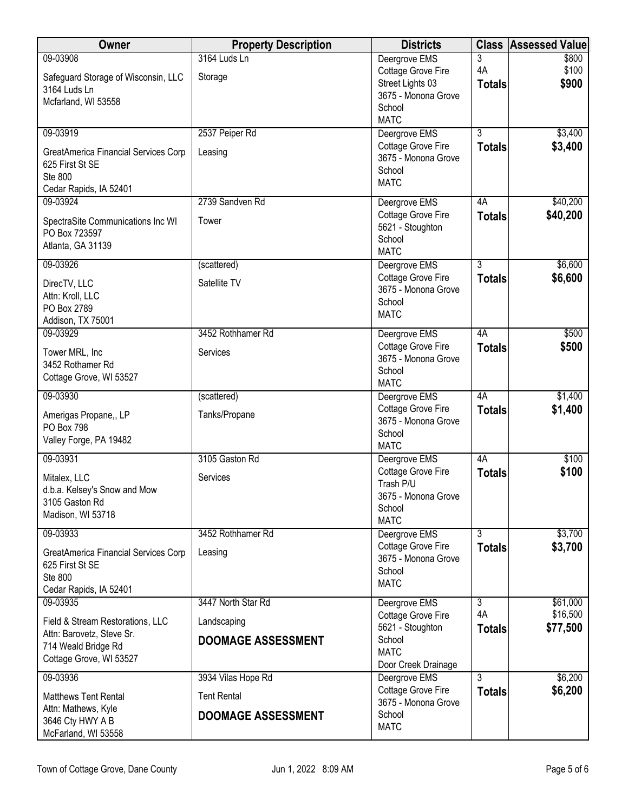| Owner                                                                                                                       | <b>Property Description</b>                                           | <b>Districts</b>                                                                                        | <b>Class</b>                          | Assessed Value                   |
|-----------------------------------------------------------------------------------------------------------------------------|-----------------------------------------------------------------------|---------------------------------------------------------------------------------------------------------|---------------------------------------|----------------------------------|
| 09-03908<br>Safeguard Storage of Wisconsin, LLC<br>3164 Luds Ln<br>Mcfarland, WI 53558                                      | 3164 Luds Ln<br>Storage                                               | Deergrove EMS<br>Cottage Grove Fire<br>Street Lights 03<br>3675 - Monona Grove<br>School<br><b>MATC</b> | 3<br>4A<br><b>Totals</b>              | \$800<br>\$100<br>\$900          |
| 09-03919<br>GreatAmerica Financial Services Corp<br>625 First St SE<br><b>Ste 800</b><br>Cedar Rapids, IA 52401             | 2537 Peiper Rd<br>Leasing                                             | Deergrove EMS<br>Cottage Grove Fire<br>3675 - Monona Grove<br>School<br><b>MATC</b>                     | $\overline{3}$<br><b>Totals</b>       | \$3,400<br>\$3,400               |
| 09-03924<br>SpectraSite Communications Inc WI<br>PO Box 723597<br>Atlanta, GA 31139                                         | 2739 Sandven Rd<br>Tower                                              | Deergrove EMS<br>Cottage Grove Fire<br>5621 - Stoughton<br>School<br><b>MATC</b>                        | 4A<br><b>Totals</b>                   | \$40,200<br>\$40,200             |
| 09-03926<br>DirecTV, LLC<br>Attn: Kroll, LLC<br>PO Box 2789<br>Addison, TX 75001                                            | (scattered)<br>Satellite TV                                           | Deergrove EMS<br>Cottage Grove Fire<br>3675 - Monona Grove<br>School<br><b>MATC</b>                     | $\overline{3}$<br><b>Totals</b>       | \$6,600<br>\$6,600               |
| 09-03929<br>Tower MRL, Inc<br>3452 Rothamer Rd<br>Cottage Grove, WI 53527                                                   | 3452 Rothhamer Rd<br>Services                                         | Deergrove EMS<br>Cottage Grove Fire<br>3675 - Monona Grove<br>School<br><b>MATC</b>                     | 4A<br><b>Totals</b>                   | \$500<br>\$500                   |
| 09-03930<br>Amerigas Propane,, LP<br>PO Box 798<br>Valley Forge, PA 19482                                                   | (scattered)<br>Tanks/Propane                                          | Deergrove EMS<br>Cottage Grove Fire<br>3675 - Monona Grove<br>School<br><b>MATC</b>                     | 4A<br><b>Totals</b>                   | \$1,400<br>\$1,400               |
| 09-03931<br>Mitalex, LLC<br>d.b.a. Kelsey's Snow and Mow<br>3105 Gaston Rd<br>Madison, WI 53718                             | 3105 Gaston Rd<br>Services                                            | Deergrove EMS<br>Cottage Grove Fire<br>Trash P/U<br>3675 - Monona Grove<br>School<br><b>MATC</b>        | 4A<br><b>Totals</b>                   | \$100<br>\$100                   |
| 09-03933<br>GreatAmerica Financial Services Corp<br>625 First St SE<br>Ste 800<br>Cedar Rapids, IA 52401                    | 3452 Rothhamer Rd<br>Leasing                                          | Deergrove EMS<br>Cottage Grove Fire<br>3675 - Monona Grove<br>School<br><b>MATC</b>                     | $\overline{3}$<br><b>Totals</b>       | \$3,700<br>\$3,700               |
| 09-03935<br>Field & Stream Restorations, LLC<br>Attn: Barovetz, Steve Sr.<br>714 Weald Bridge Rd<br>Cottage Grove, WI 53527 | 3447 North Star Rd<br>Landscaping<br><b>DOOMAGE ASSESSMENT</b>        | Deergrove EMS<br>Cottage Grove Fire<br>5621 - Stoughton<br>School<br><b>MATC</b><br>Door Creek Drainage | $\overline{3}$<br>4A<br><b>Totals</b> | \$61,000<br>\$16,500<br>\$77,500 |
| 09-03936<br><b>Matthews Tent Rental</b><br>Attn: Mathews, Kyle<br>3646 Cty HWY A B<br>McFarland, WI 53558                   | 3934 Vilas Hope Rd<br><b>Tent Rental</b><br><b>DOOMAGE ASSESSMENT</b> | Deergrove EMS<br>Cottage Grove Fire<br>3675 - Monona Grove<br>School<br><b>MATC</b>                     | 3<br><b>Totals</b>                    | \$6,200<br>\$6,200               |